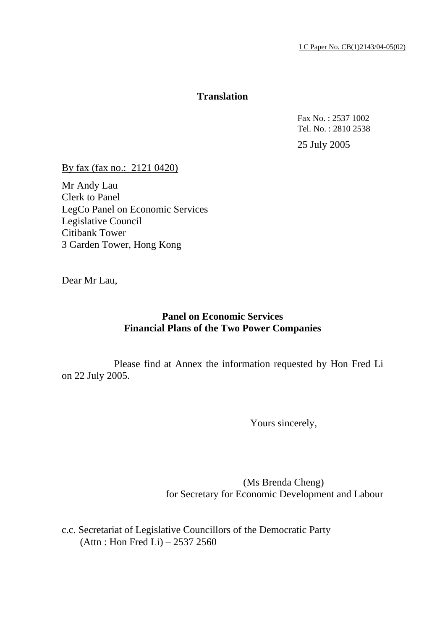## **Translation**

 Fax No. : 2537 1002 Tel. No. : 2810 2538

25 July 2005

By fax (fax no.: 2121 0420)

Mr Andy Lau Clerk to Panel LegCo Panel on Economic Services Legislative Council Citibank Tower 3 Garden Tower, Hong Kong

Dear Mr Lau,

## **Panel on Economic Services Financial Plans of the Two Power Companies**

 Please find at Annex the information requested by Hon Fred Li on 22 July 2005.

Yours sincerely,

 (Ms Brenda Cheng) for Secretary for Economic Development and Labour

c.c. Secretariat of Legislative Councillors of the Democratic Party (Attn : Hon Fred Li) – 2537 2560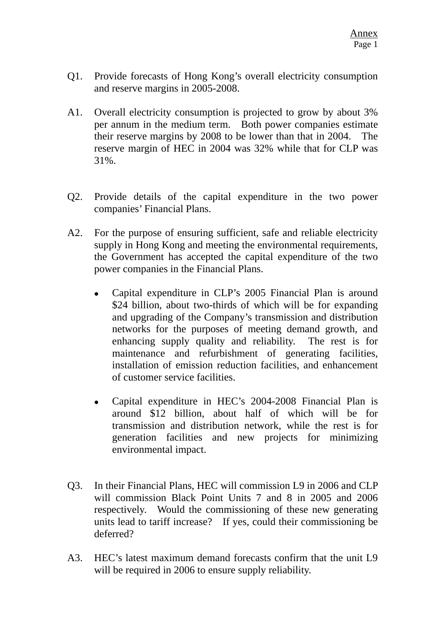- Q1. Provide forecasts of Hong Kong's overall electricity consumption and reserve margins in 2005-2008.
- A1. Overall electricity consumption is projected to grow by about 3% per annum in the medium term. Both power companies estimate their reserve margins by 2008 to be lower than that in 2004. The reserve margin of HEC in 2004 was 32% while that for CLP was 31%.
- Q2. Provide details of the capital expenditure in the two power companies' Financial Plans.
- A2. For the purpose of ensuring sufficient, safe and reliable electricity supply in Hong Kong and meeting the environmental requirements, the Government has accepted the capital expenditure of the two power companies in the Financial Plans.
	- Capital expenditure in CLP's 2005 Financial Plan is around \$24 billion, about two-thirds of which will be for expanding and upgrading of the Company's transmission and distribution networks for the purposes of meeting demand growth, and enhancing supply quality and reliability. The rest is for maintenance and refurbishment of generating facilities, installation of emission reduction facilities, and enhancement of customer service facilities.
	- Capital expenditure in HEC's 2004-2008 Financial Plan is around \$12 billion, about half of which will be for transmission and distribution network, while the rest is for generation facilities and new projects for minimizing environmental impact.
- Q3. In their Financial Plans, HEC will commission L9 in 2006 and CLP will commission Black Point Units 7 and 8 in 2005 and 2006 respectively. Would the commissioning of these new generating units lead to tariff increase? If yes, could their commissioning be deferred?
- A3. HEC's latest maximum demand forecasts confirm that the unit L9 will be required in 2006 to ensure supply reliability.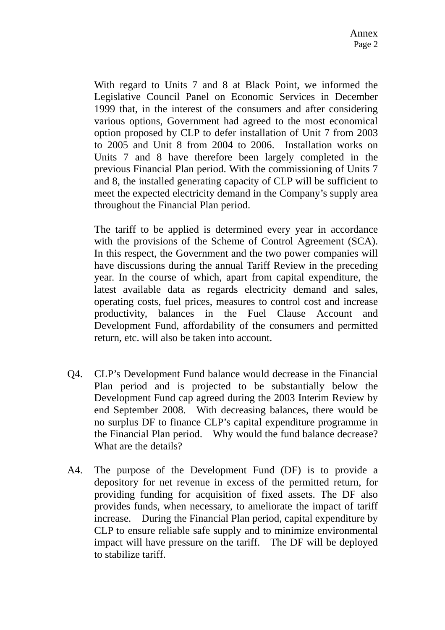With regard to Units 7 and 8 at Black Point, we informed the Legislative Council Panel on Economic Services in December 1999 that, in the interest of the consumers and after considering various options, Government had agreed to the most economical option proposed by CLP to defer installation of Unit 7 from 2003 to 2005 and Unit 8 from 2004 to 2006. Installation works on Units 7 and 8 have therefore been largely completed in the previous Financial Plan period. With the commissioning of Units 7 and 8, the installed generating capacity of CLP will be sufficient to meet the expected electricity demand in the Company's supply area throughout the Financial Plan period.

The tariff to be applied is determined every year in accordance with the provisions of the Scheme of Control Agreement (SCA). In this respect, the Government and the two power companies will have discussions during the annual Tariff Review in the preceding year. In the course of which, apart from capital expenditure, the latest available data as regards electricity demand and sales, operating costs, fuel prices, measures to control cost and increase productivity, balances in the Fuel Clause Account and Development Fund, affordability of the consumers and permitted return, etc. will also be taken into account.

- Q4. CLP's Development Fund balance would decrease in the Financial Plan period and is projected to be substantially below the Development Fund cap agreed during the 2003 Interim Review by end September 2008. With decreasing balances, there would be no surplus DF to finance CLP's capital expenditure programme in the Financial Plan period. Why would the fund balance decrease? What are the details?
- A4. The purpose of the Development Fund (DF) is to provide a depository for net revenue in excess of the permitted return, for providing funding for acquisition of fixed assets. The DF also provides funds, when necessary, to ameliorate the impact of tariff increase. During the Financial Plan period, capital expenditure by CLP to ensure reliable safe supply and to minimize environmental impact will have pressure on the tariff. The DF will be deployed to stabilize tariff.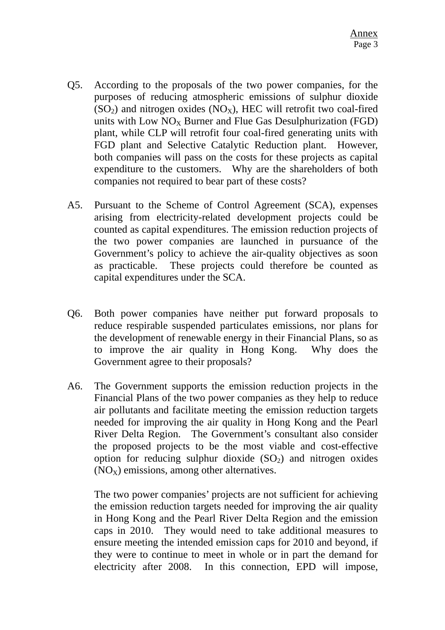- Q5. According to the proposals of the two power companies, for the purposes of reducing atmospheric emissions of sulphur dioxide  $(SO<sub>2</sub>)$  and nitrogen oxides  $(NO<sub>X</sub>)$ , HEC will retrofit two coal-fired units with Low  $NO<sub>x</sub>$  Burner and Flue Gas Desulphurization (FGD) plant, while CLP will retrofit four coal-fired generating units with FGD plant and Selective Catalytic Reduction plant. However, both companies will pass on the costs for these projects as capital expenditure to the customers. Why are the shareholders of both companies not required to bear part of these costs?
- A5. Pursuant to the Scheme of Control Agreement (SCA), expenses arising from electricity-related development projects could be counted as capital expenditures. The emission reduction projects of the two power companies are launched in pursuance of the Government's policy to achieve the air-quality objectives as soon as practicable. These projects could therefore be counted as capital expenditures under the SCA.
- Q6. Both power companies have neither put forward proposals to reduce respirable suspended particulates emissions, nor plans for the development of renewable energy in their Financial Plans, so as to improve the air quality in Hong Kong. Why does the Government agree to their proposals?
- A6. The Government supports the emission reduction projects in the Financial Plans of the two power companies as they help to reduce air pollutants and facilitate meeting the emission reduction targets needed for improving the air quality in Hong Kong and the Pearl River Delta Region. The Government's consultant also consider the proposed projects to be the most viable and cost-effective option for reducing sulphur dioxide  $(SO<sub>2</sub>)$  and nitrogen oxides  $(NO<sub>x</sub>)$  emissions, among other alternatives.

The two power companies' projects are not sufficient for achieving the emission reduction targets needed for improving the air quality in Hong Kong and the Pearl River Delta Region and the emission caps in 2010. They would need to take additional measures to ensure meeting the intended emission caps for 2010 and beyond, if they were to continue to meet in whole or in part the demand for electricity after 2008. In this connection, EPD will impose,